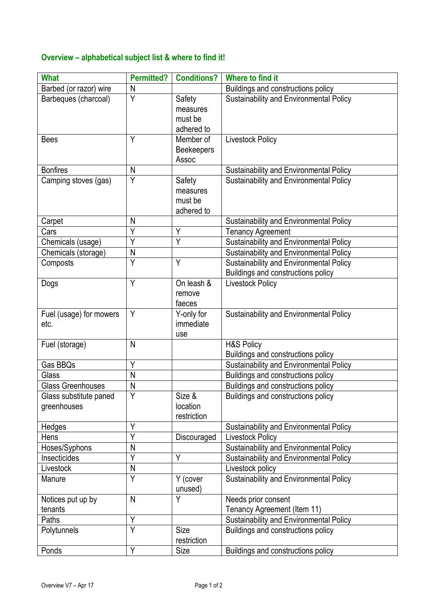## **Overview – alphabetical subject list & where to find it!**

| <b>What</b>                           | <b>Permitted?</b> | <b>Conditions?</b>                          | Where to find it                                                              |
|---------------------------------------|-------------------|---------------------------------------------|-------------------------------------------------------------------------------|
| Barbed (or razor) wire                | N                 |                                             | Buildings and constructions policy                                            |
| Barbeques (charcoal)                  | $\overline{Y}$    | Safety<br>measures<br>must be<br>adhered to | Sustainability and Environmental Policy                                       |
| <b>Bees</b>                           | Y                 | Member of<br><b>Beekeepers</b><br>Assoc     | <b>Livestock Policy</b>                                                       |
| <b>Bonfires</b>                       | N                 |                                             | Sustainability and Environmental Policy                                       |
| Camping stoves (gas)                  | $\overline{Y}$    | Safety<br>measures<br>must be<br>adhered to | Sustainability and Environmental Policy                                       |
| Carpet                                | N                 |                                             | Sustainability and Environmental Policy                                       |
| Cars                                  | Ý                 | Υ                                           | <b>Tenancy Agreement</b>                                                      |
| Chemicals (usage)                     | Ÿ                 | Y                                           | Sustainability and Environmental Policy                                       |
| Chemicals (storage)                   | N                 |                                             | Sustainability and Environmental Policy                                       |
| Composts                              | $\overline{Y}$    | Y                                           | Sustainability and Environmental Policy<br>Buildings and constructions policy |
| Dogs                                  | Y                 | On leash &<br>remove<br>faeces              | Livestock Policy                                                              |
| Fuel (usage) for mowers<br>etc.       | Y                 | Y-only for<br>immediate<br>use              | Sustainability and Environmental Policy                                       |
| Fuel (storage)                        | N                 |                                             | <b>H&amp;S Policy</b><br>Buildings and constructions policy                   |
| Gas BBQs                              | Y                 |                                             | Sustainability and Environmental Policy                                       |
| Glass                                 | $\mathsf{N}$      |                                             | Buildings and constructions policy                                            |
| <b>Glass Greenhouses</b>              | N                 |                                             | Buildings and constructions policy                                            |
| Glass substitute paned<br>greenhouses | Y                 | Size &<br>location<br>restriction           | Buildings and constructions policy                                            |
| Hedges                                | Υ                 |                                             | Sustainability and Environmental Policy                                       |
| Hens                                  | Ÿ                 | Discouraged                                 | <b>Livestock Policy</b>                                                       |
| Hoses/Syphons                         | N                 |                                             | Sustainability and Environmental Policy                                       |
| Insecticides                          | Υ                 | Y                                           | Sustainability and Environmental Policy                                       |
| Livestock                             | ${\sf N}$         |                                             | Livestock policy                                                              |
| Manure                                | Y                 | Y (cover<br>unused)                         | Sustainability and Environmental Policy                                       |
| Notices put up by<br>tenants          | N.                | Y                                           | Needs prior consent<br>Tenancy Agreement (Item 11)                            |
| Paths                                 | Y                 |                                             | Sustainability and Environmental Policy                                       |
| Polytunnels                           | Y                 | Size<br>restriction                         | Buildings and constructions policy                                            |
| Ponds                                 | Y                 | Size                                        | Buildings and constructions policy                                            |